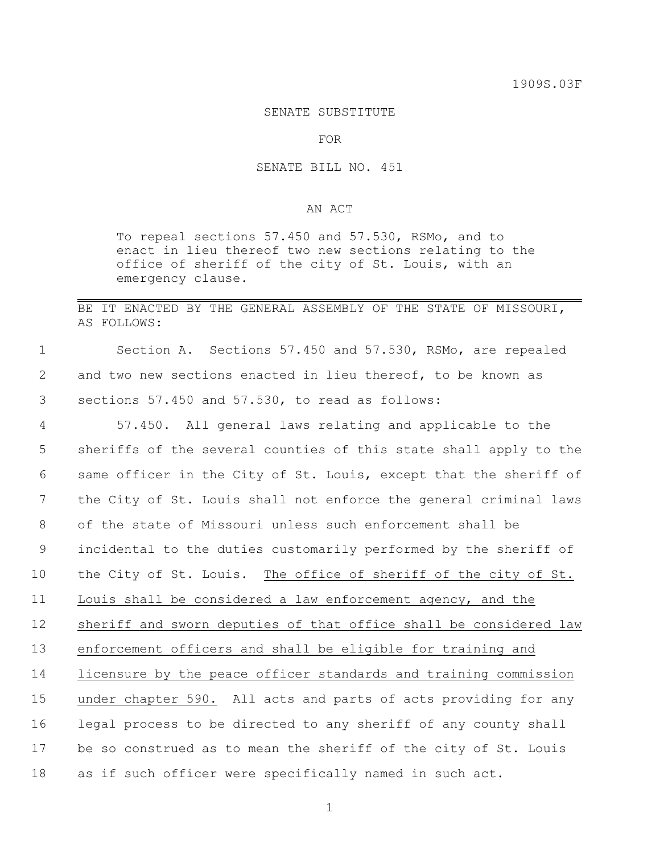## SENATE SUBSTITUTE

FOR

## SENATE BILL NO. 451

## AN ACT

To repeal sections 57.450 and 57.530, RSMo, and to enact in lieu thereof two new sections relating to the office of sheriff of the city of St. Louis, with an emergency clause.

## BE IT ENACTED BY THE GENERAL ASSEMBLY OF THE STATE OF MISSOURI, AS FOLLOWS:

1 Section A. Sections 57.450 and 57.530, RSMo, are repealed 2 and two new sections enacted in lieu thereof, to be known as 3 sections 57.450 and 57.530, to read as follows:

 57.450. All general laws relating and applicable to the sheriffs of the several counties of this state shall apply to the same officer in the City of St. Louis, except that the sheriff of the City of St. Louis shall not enforce the general criminal laws of the state of Missouri unless such enforcement shall be incidental to the duties customarily performed by the sheriff of the City of St. Louis. The office of sheriff of the city of St. Louis shall be considered a law enforcement agency, and the sheriff and sworn deputies of that office shall be considered law enforcement officers and shall be eligible for training and licensure by the peace officer standards and training commission under chapter 590. All acts and parts of acts providing for any legal process to be directed to any sheriff of any county shall be so construed as to mean the sheriff of the city of St. Louis as if such officer were specifically named in such act.

1